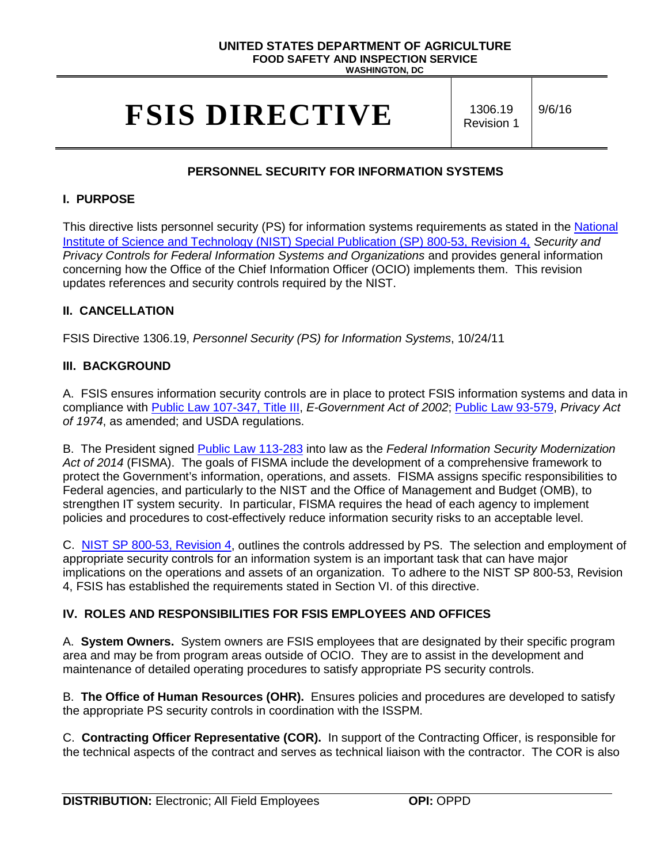## **UNITED STATES DEPARTMENT OF AGRICULTURE FOOD SAFETY AND INSPECTION SERVICE**

**WASHINGTON, DC**

# **FSIS DIRECTIVE** 1306.19

Revision 1 9/6/16

# **PERSONNEL SECURITY FOR INFORMATION SYSTEMS**

### **I. PURPOSE**

This directive lists personnel security (PS) for information systems requirements as stated in the National [Institute of Science and Technology \(NIST\) Special Publication \(SP\) 800-53, Revision 4](http://nvlpubs.nist.gov/nistpubs/SpecialPublications/NIST.SP.800-53r4.pdf)*, Security and Privacy Controls for Federal Information Systems and Organizations* and provides general information concerning how the Office of the Chief Information Officer (OCIO) implements them. This revision updates references and security controls required by the NIST.

## **II. CANCELLATION**

FSIS Directive 1306.19, *Personnel Security (PS) for Information Systems*, 10/24/11

## **III. BACKGROUND**

A. FSIS ensures information security controls are in place to protect FSIS information systems and data in compliance with [Public Law 107-347, Title III,](http://www.gpo.gov/fdsys/pkg/PLAW-107publ347/pdf/PLAW-107publ347.pdf) *E-Government Act of 2002*; [Public Law 93-579,](http://www.justice.gov/opcl/privacy-act-1974) *Privacy Act of 1974*, as amended; and USDA regulations.

B. The President signed [Public Law 113-283](https://www.congress.gov/113/plaws/publ283/PLAW-113publ283.pdf) into law as the *Federal Information Security Modernization Act of 2014* (FISMA). The goals of FISMA include the development of a comprehensive framework to protect the Government's information, operations, and assets. FISMA assigns specific responsibilities to Federal agencies, and particularly to the NIST and the Office of Management and Budget (OMB), to strengthen IT system security. In particular, FISMA requires the head of each agency to implement policies and procedures to cost-effectively reduce information security risks to an acceptable level.

C. [NIST SP 800-53, Revision 4,](http://nvlpubs.nist.gov/nistpubs/SpecialPublications/NIST.SP.800-53r4.pdf) outlines the controls addressed by PS. The selection and employment of appropriate security controls for an information system is an important task that can have major implications on the operations and assets of an organization. To adhere to the NIST SP 800-53, Revision 4, FSIS has established the requirements stated in Section VI. of this directive.

# **IV. ROLES AND RESPONSIBILITIES FOR FSIS EMPLOYEES AND OFFICES**

A. **System Owners.** System owners are FSIS employees that are designated by their specific program area and may be from program areas outside of OCIO. They are to assist in the development and maintenance of detailed operating procedures to satisfy appropriate PS security controls.

B. **The Office of Human Resources (OHR).** Ensures policies and procedures are developed to satisfy the appropriate PS security controls in coordination with the ISSPM.

C. **Contracting Officer Representative (COR).** In support of the Contracting Officer, is responsible for the technical aspects of the contract and serves as technical liaison with the contractor. The COR is also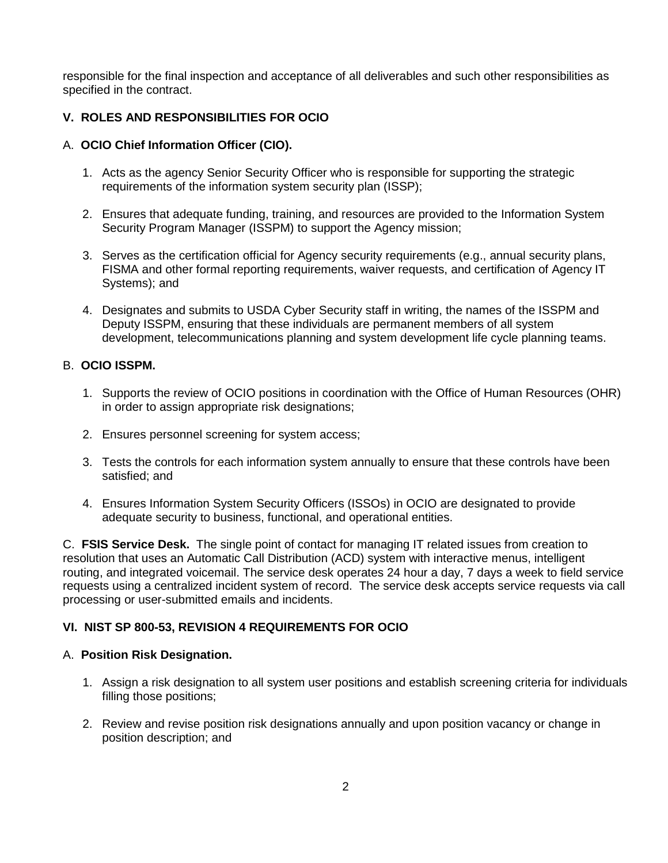responsible for the final inspection and acceptance of all deliverables and such other responsibilities as specified in the contract.

# **V. ROLES AND RESPONSIBILITIES FOR OCIO**

#### A. **OCIO Chief Information Officer (CIO).**

- 1. Acts as the agency Senior Security Officer who is responsible for supporting the strategic requirements of the information system security plan (ISSP);
- 2. Ensures that adequate funding, training, and resources are provided to the Information System Security Program Manager (ISSPM) to support the Agency mission;
- 3. Serves as the certification official for Agency security requirements (e.g., annual security plans, FISMA and other formal reporting requirements, waiver requests, and certification of Agency IT Systems); and
- 4. Designates and submits to USDA Cyber Security staff in writing, the names of the ISSPM and Deputy ISSPM, ensuring that these individuals are permanent members of all system development, telecommunications planning and system development life cycle planning teams.

#### B. **OCIO ISSPM.**

- 1. Supports the review of OCIO positions in coordination with the Office of Human Resources (OHR) in order to assign appropriate risk designations;
- 2. Ensures personnel screening for system access;
- 3. Tests the controls for each information system annually to ensure that these controls have been satisfied; and
- 4. Ensures Information System Security Officers (ISSOs) in OCIO are designated to provide adequate security to business, functional, and operational entities.

C. **FSIS Service Desk.** The single point of contact for managing IT related issues from creation to resolution that uses an Automatic Call Distribution (ACD) system with interactive menus, intelligent routing, and integrated voicemail. The service desk operates 24 hour a day, 7 days a week to field service requests using a centralized incident system of record. The service desk accepts service requests via call processing or user-submitted emails and incidents.

#### **VI. NIST SP 800-53, REVISION 4 REQUIREMENTS FOR OCIO**

#### A. **Position Risk Designation.**

- 1. Assign a risk designation to all system user positions and establish screening criteria for individuals filling those positions;
- 2. Review and revise position risk designations annually and upon position vacancy or change in position description; and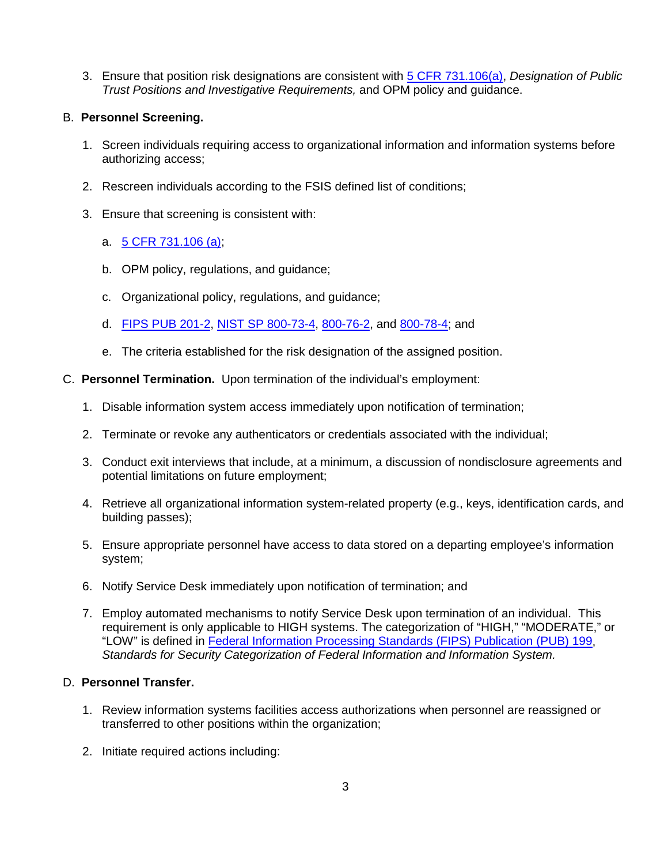3. Ensure that position risk designations are consistent with [5 CFR 731.106\(a\),](https://www.gpo.gov/fdsys/pkg/CFR-2012-title5-vol2/pdf/CFR-2012-title5-vol2-sec731-106.pdf) *Designation of Public Trust Positions and Investigative Requirements,* and OPM policy and guidance.

#### B. **Personnel Screening.**

- 1. Screen individuals requiring access to organizational information and information systems before authorizing access;
- 2. Rescreen individuals according to the FSIS defined list of conditions;
- 3. Ensure that screening is consistent with:
	- a. [5 CFR 731.106 \(a\);](https://www.gpo.gov/fdsys/pkg/CFR-2012-title5-vol2/pdf/CFR-2012-title5-vol2-sec731-106.pdf)
	- b. OPM policy, regulations, and guidance;
	- c. Organizational policy, regulations, and guidance;
	- d. [FIPS PUB 201-2,](http://nvlpubs.nist.gov/nistpubs/FIPS/NIST.FIPS.201-2.pdf) [NIST SP 800-73-4,](http://nvlpubs.nist.gov/nistpubs/SpecialPublications/NIST.SP.800-73-4.pdf) [800-76-2,](http://nvlpubs.nist.gov/nistpubs/SpecialPublications/NIST.SP.800-76-2.pdf) and [800-78-4;](http://nvlpubs.nist.gov/nistpubs/SpecialPublications/NIST.SP.800-78-4.pdf) and
	- e. The criteria established for the risk designation of the assigned position.
- C. **Personnel Termination.** Upon termination of the individual's employment:
	- 1. Disable information system access immediately upon notification of termination;
	- 2. Terminate or revoke any authenticators or credentials associated with the individual;
	- 3. Conduct exit interviews that include, at a minimum, a discussion of nondisclosure agreements and potential limitations on future employment;
	- 4. Retrieve all organizational information system-related property (e.g., keys, identification cards, and building passes);
	- 5. Ensure appropriate personnel have access to data stored on a departing employee's information system;
	- 6. Notify Service Desk immediately upon notification of termination; and
	- 7. Employ automated mechanisms to notify Service Desk upon termination of an individual. This requirement is only applicable to HIGH systems. The categorization of "HIGH," "MODERATE," or "LOW" is defined in [Federal Information Processing Standards \(FIPS\) Publication \(PUB\) 199,](http://csrc.nist.gov/publications/fips/fips199/FIPS-PUB-199-final.pdf) *Standards for Security Categorization of Federal Information and Information System.*

#### D. **Personnel Transfer.**

- 1. Review information systems facilities access authorizations when personnel are reassigned or transferred to other positions within the organization;
- 2. Initiate required actions including: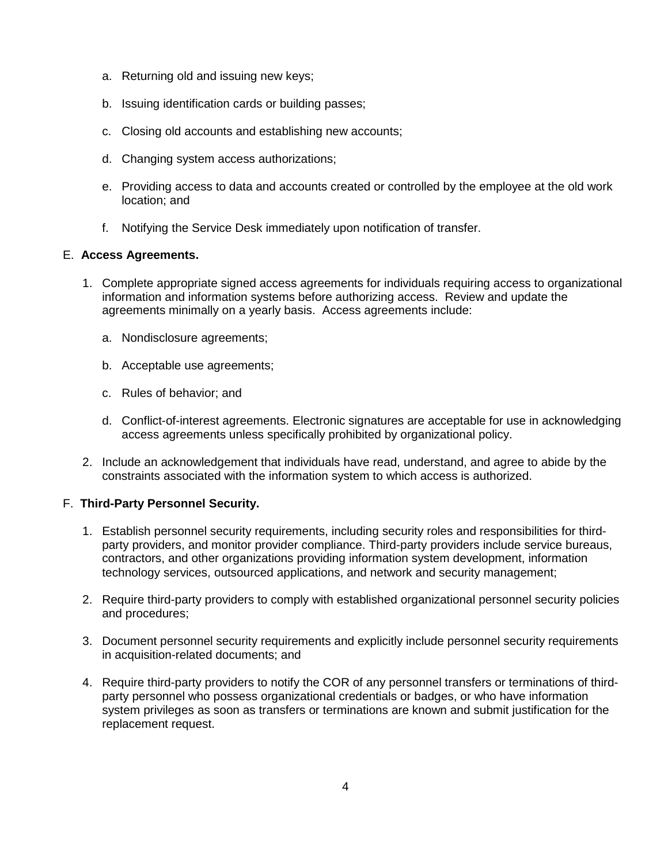- a. Returning old and issuing new keys;
- b. Issuing identification cards or building passes;
- c. Closing old accounts and establishing new accounts;
- d. Changing system access authorizations;
- e. Providing access to data and accounts created or controlled by the employee at the old work location; and
- f. Notifying the Service Desk immediately upon notification of transfer.

#### E. **Access Agreements.**

- 1. Complete appropriate signed access agreements for individuals requiring access to organizational information and information systems before authorizing access. Review and update the agreements minimally on a yearly basis. Access agreements include:
	- a. Nondisclosure agreements;
	- b. Acceptable use agreements;
	- c. Rules of behavior; and
	- d. Conflict-of-interest agreements. Electronic signatures are acceptable for use in acknowledging access agreements unless specifically prohibited by organizational policy.
- 2. Include an acknowledgement that individuals have read, understand, and agree to abide by the constraints associated with the information system to which access is authorized.

#### F. **Third-Party Personnel Security.**

- 1. Establish personnel security requirements, including security roles and responsibilities for thirdparty providers, and monitor provider compliance. Third-party providers include service bureaus, contractors, and other organizations providing information system development, information technology services, outsourced applications, and network and security management;
- 2. Require third-party providers to comply with established organizational personnel security policies and procedures;
- 3. Document personnel security requirements and explicitly include personnel security requirements in acquisition-related documents; and
- 4. Require third-party providers to notify the COR of any personnel transfers or terminations of thirdparty personnel who possess organizational credentials or badges, or who have information system privileges as soon as transfers or terminations are known and submit justification for the replacement request.